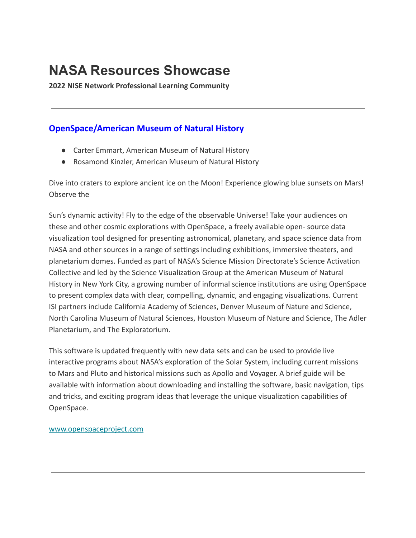# **NASA Resources Showcase**

**2022 NISE Network Professional Learning Community**

# **OpenSpace/American Museum of Natural History**

- Carter Emmart, American Museum of Natural History
- Rosamond Kinzler, American Museum of Natural History

Dive into craters to explore ancient ice on the Moon! Experience glowing blue sunsets on Mars! Observe the

Sun's dynamic activity! Fly to the edge of the observable Universe! Take your audiences on these and other cosmic explorations with OpenSpace, a freely available open- source data visualization tool designed for presenting astronomical, planetary, and space science data from NASA and other sources in a range of settings including exhibitions, immersive theaters, and planetarium domes. Funded as part of NASA's Science Mission Directorate's Science Activation Collective and led by the Science Visualization Group at the American Museum of Natural History in New York City, a growing number of informal science institutions are using OpenSpace to present complex data with clear, compelling, dynamic, and engaging visualizations. Current ISI partners include California Academy of Sciences, Denver Museum of Nature and Science, North Carolina Museum of Natural Sciences, Houston Museum of Nature and Science, The Adler Planetarium, and The Exploratorium.

This software is updated frequently with new data sets and can be used to provide live interactive programs about NASA's exploration of the Solar System, including current missions to Mars and Pluto and historical missions such as Apollo and Voyager. A brief guide will be available with information about downloading and installing the software, basic navigation, tips and tricks, and exciting program ideas that leverage the unique visualization capabilities of OpenSpace.

[www.openspaceproject.com](https://www.openspaceproject.com/)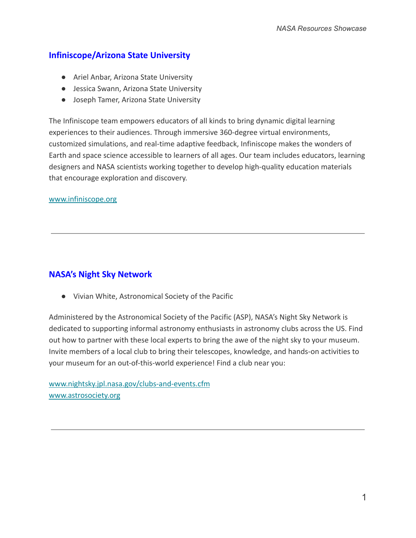# **Infiniscope/Arizona State University**

- Ariel Anbar, Arizona State University
- Jessica Swann, Arizona State University
- Joseph Tamer, Arizona State University

The Infiniscope team empowers educators of all kinds to bring dynamic digital learning experiences to their audiences. Through immersive 360-degree virtual environments, customized simulations, and real-time adaptive feedback, Infiniscope makes the wonders of Earth and space science accessible to learners of all ages. Our team includes educators, learning designers and NASA scientists working together to develop high-quality education materials that encourage exploration and discovery.

[www.infiniscope.org](https://infiniscope.org/)

## **NASA's Night Sky Network**

● Vivian White, Astronomical Society of the Pacific

Administered by the Astronomical Society of the Pacific (ASP), NASA's Night Sky Network is dedicated to supporting informal astronomy enthusiasts in astronomy clubs across the US. Find out how to partner with these local experts to bring the awe of the night sky to your museum. Invite members of a local club to bring their telescopes, knowledge, and hands-on activities to your museum for an out-of-this-world experience! Find a club near you:

[www.nightsky.jpl.nasa.gov/](https://www.nightsky.jpl.nasa.gov/)clubs-and-events.cfm [www.astrosociety.org](https://www.astrosociety.org/)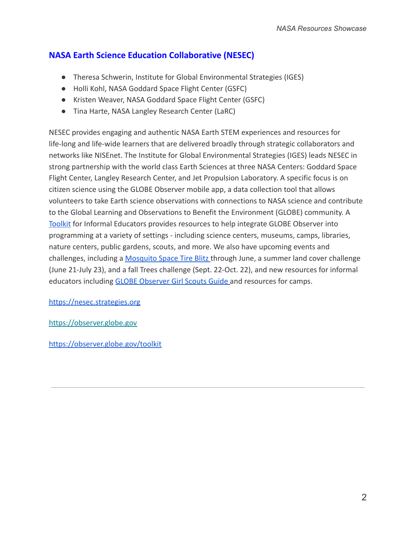# **NASA Earth Science Education Collaborative (NESEC)**

- Theresa Schwerin, Institute for Global Environmental Strategies (IGES)
- Holli Kohl, NASA Goddard Space Flight Center (GSFC)
- Kristen Weaver, NASA Goddard Space Flight Center (GSFC)
- Tina Harte, NASA Langley Research Center (LaRC)

NESEC provides engaging and authentic NASA Earth STEM experiences and resources for life-long and life-wide learners that are delivered broadly through strategic collaborators and networks like NISEnet. The Institute for Global Environmental Strategies (IGES) leads NESEC in strong partnership with the world class Earth Sciences at three NASA Centers: Goddard Space Flight Center, Langley Research Center, and Jet Propulsion Laboratory. A specific focus is on citizen science using the GLOBE Observer mobile app, a data collection tool that allows volunteers to take Earth science observations with connections to NASA science and contribute to the Global Learning and Observations to Benefit the Environment (GLOBE) community. A [Toolkit](https://observer.globe.gov/toolkit) for Informal Educators provides resources to help integrate GLOBE Observer into programming at a variety of settings - including science centers, museums, camps, libraries, nature centers, public gardens, scouts, and more. We also have upcoming events and challenges, including a [Mosquito Space Tire Blitz](https://observer.globe.gov/news-events-and-people/news/-/obsnewsdetail/19589576/are-old-tires-new-mosquito-condos) through June, a summer land cover challenge (June 21-July 23), and a fall Trees challenge (Sept. 22-Oct. 22), and new resources for informal educators including [GLOBE Observer Girl Scouts Guide](https://observer.globe.gov/toolkit/guides/girl-scouts) and resources for camps.

[https://nesec.strategies.org](https://nesec.strategies.org/)

[https://observer.globe.gov](https://observer.globe.gov/)

<https://observer.globe.gov/toolkit>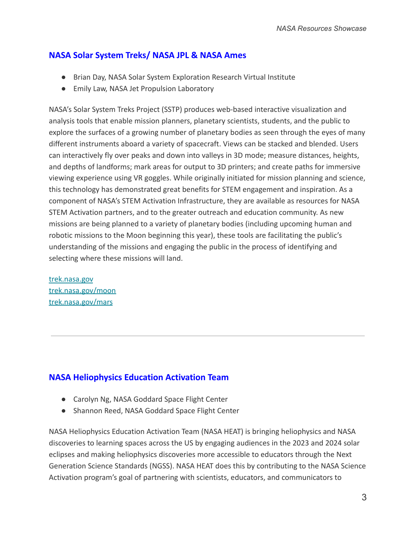# **NASA Solar System Treks/ NASA JPL & NASA Ames**

- Brian Day, NASA Solar System Exploration Research Virtual Institute
- Emily Law, NASA Jet Propulsion Laboratory

NASA's Solar System Treks Project (SSTP) produces web-based interactive visualization and analysis tools that enable mission planners, planetary scientists, students, and the public to explore the surfaces of a growing number of planetary bodies as seen through the eyes of many different instruments aboard a variety of spacecraft. Views can be stacked and blended. Users can interactively fly over peaks and down into valleys in 3D mode; measure distances, heights, and depths of landforms; mark areas for output to 3D printers; and create paths for immersive viewing experience using VR goggles. While originally initiated for mission planning and science, this technology has demonstrated great benefits for STEM engagement and inspiration. As a component of NASA's STEM Activation Infrastructure, they are available as resources for NASA STEM Activation partners, and to the greater outreach and education community. As new missions are being planned to a variety of planetary bodies (including upcoming human and robotic missions to the Moon beginning this year), these tools are facilitating the public's understanding of the missions and engaging the public in the process of identifying and selecting where these missions will land.

[trek.nasa.gov](https://trek.nasa.gov/) [trek.nasa.gov/moon](https://trek.nasa.gov/moon/) [trek.nasa.gov/mars](https://trek.nasa.gov/mars/)

# **NASA Heliophysics Education Activation Team**

- Carolyn Ng, NASA Goddard Space Flight Center
- Shannon Reed, NASA Goddard Space Flight Center

NASA Heliophysics Education Activation Team (NASA HEAT) is bringing heliophysics and NASA discoveries to learning spaces across the US by engaging audiences in the 2023 and 2024 solar eclipses and making heliophysics discoveries more accessible to educators through the Next Generation Science Standards (NGSS). NASA HEAT does this by contributing to the NASA Science Activation program's goal of partnering with scientists, educators, and communicators to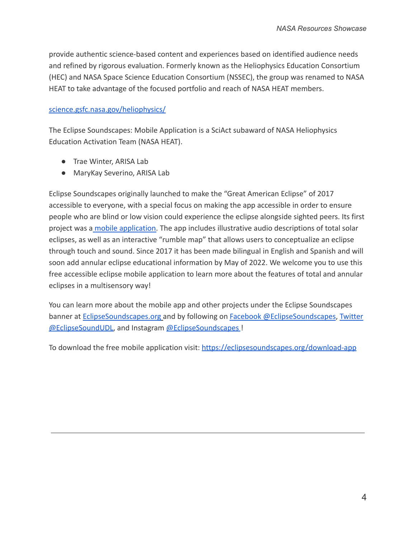provide authentic science-based content and experiences based on identified audience needs and refined by rigorous evaluation. Formerly known as the Heliophysics Education Consortium (HEC) and NASA Space Science Education Consortium (NSSEC), the group was renamed to NASA HEAT to take advantage of the focused portfolio and reach of NASA HEAT members.

#### [science.gsfc.nasa.gov/heliophysics/](https://science.gsfc.nasa.gov/heliophysics/)

The Eclipse Soundscapes: Mobile Application is a SciAct subaward of NASA Heliophysics Education Activation Team (NASA HEAT).

- Trae Winter, ARISA Lab
- MaryKay Severino, ARISA Lab

Eclipse Soundscapes originally launched to make the "Great American Eclipse" of 2017 accessible to everyone, with a special focus on making the app accessible in order to ensure people who are blind or low vision could experience the eclipse alongside sighted peers. Its first project was a [mobile application.](http://eclipsesoundscapes.org/download-app) The app includes illustrative audio descriptions of total solar eclipses, as well as an interactive "rumble map" that allows users to conceptualize an eclipse through touch and sound. Since 2017 it has been made bilingual in English and Spanish and will soon add annular eclipse educational information by May of 2022. We welcome you to use this free accessible eclipse mobile application to learn more about the features of total and annular eclipses in a multisensory way!

You can learn more about the mobile app and other projects under the Eclipse Soundscapes banner at [EclipseSoundscapes.org](https://eclipsesoundscapes.org/) and by following on [Facebook @EclipseSoundscapes](https://www.facebook.com/EclipseSoundscapes), [Twitter](https://twitter.com/EclipseSoundUDL) [@EclipseSoundUDL,](https://twitter.com/EclipseSoundUDL) and Instagram [@EclipseSoundscapes](https://www.instagram.com/eclipsesoundscapes/?hl=en) !

To download the free mobile application visit: <https://eclipsesoundscapes.org/download-app>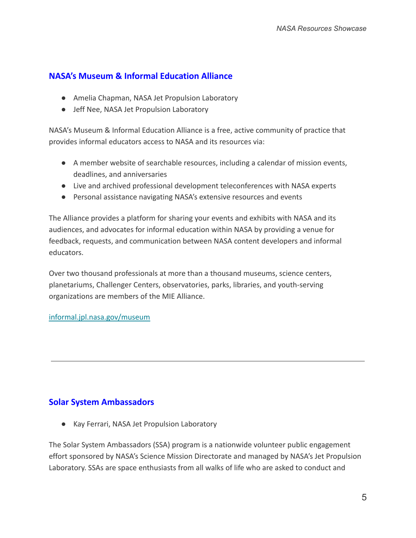# **NASA's Museum & Informal Education Alliance**

- Amelia Chapman, NASA Jet Propulsion Laboratory
- Jeff Nee, NASA Jet Propulsion Laboratory

NASA's Museum & Informal Education Alliance is a free, active community of practice that provides informal educators access to NASA and its resources via:

- A member website of searchable resources, including a calendar of mission events, deadlines, and anniversaries
- Live and archived professional development teleconferences with NASA experts
- Personal assistance navigating NASA's extensive resources and events

The Alliance provides a platform for sharing your events and exhibits with NASA and its audiences, and advocates for informal education within NASA by providing a venue for feedback, requests, and communication between NASA content developers and informal educators.

Over two thousand professionals at more than a thousand museums, science centers, planetariums, Challenger Centers, observatories, parks, libraries, and youth-serving organizations are members of the MIE Alliance.

#### [informal.jpl.nasa.gov/museum](https://informal.jpl.nasa.gov/museum/)

# **Solar System Ambassadors**

● Kay Ferrari, NASA Jet Propulsion Laboratory

The Solar System Ambassadors (SSA) program is a nationwide volunteer public engagement effort sponsored by NASA's Science Mission Directorate and managed by NASA's Jet Propulsion Laboratory. SSAs are space enthusiasts from all walks of life who are asked to conduct and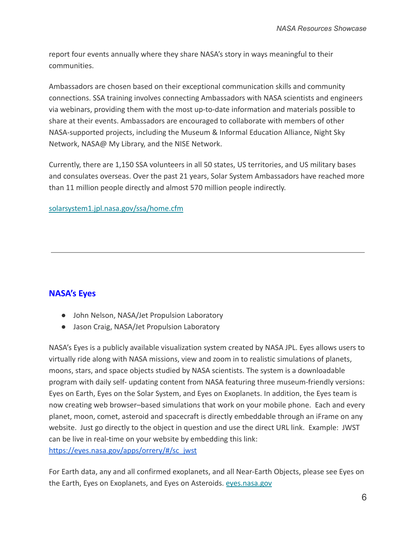report four events annually where they share NASA's story in ways meaningful to their communities.

Ambassadors are chosen based on their exceptional communication skills and community connections. SSA training involves connecting Ambassadors with NASA scientists and engineers via webinars, providing them with the most up-to-date information and materials possible to share at their events. Ambassadors are encouraged to collaborate with members of other NASA-supported projects, including the Museum & Informal Education Alliance, Night Sky Network, NASA@ My Library, and the NISE Network.

Currently, there are 1,150 SSA volunteers in all 50 states, US territories, and US military bases and consulates overseas. Over the past 21 years, Solar System Ambassadors have reached more than 11 million people directly and almost 570 million people indirectly.

#### [solarsystem1.jpl.nasa.gov/ssa/home.cfm](https://solarsystem1.jpl.nasa.gov/ssa/home.cfm)

#### **NASA's Eyes**

- John Nelson, NASA/Jet Propulsion Laboratory
- Jason Craig, NASA/Jet Propulsion Laboratory

NASA's Eyes is a publicly available visualization system created by NASA JPL. Eyes allows users to virtually ride along with NASA missions, view and zoom in to realistic simulations of planets, moons, stars, and space objects studied by NASA scientists. The system is a downloadable program with daily self- updating content from NASA featuring three museum-friendly versions: Eyes on Earth, Eyes on the Solar System, and Eyes on Exoplanets. In addition, the Eyes team is now creating web browser–based simulations that work on your mobile phone. Each and every planet, moon, comet, asteroid and spacecraft is directly embeddable through an iFrame on any website. Just go directly to the object in question and use the direct URL link. Example: JWST can be live in real-time on your website by embedding this link: [https://eyes.nasa.gov/apps/orrery/#/sc\\_jwst](https://eyes.nasa.gov/apps/orrery/#/sc_jwst)

For Earth data, any and all confirmed exoplanets, and all Near-Earth Objects, please see Eyes on the Earth, Eyes on Exoplanets, and Eyes on Asteroids. [eyes.nasa.gov](https://eyes.nasa.gov/)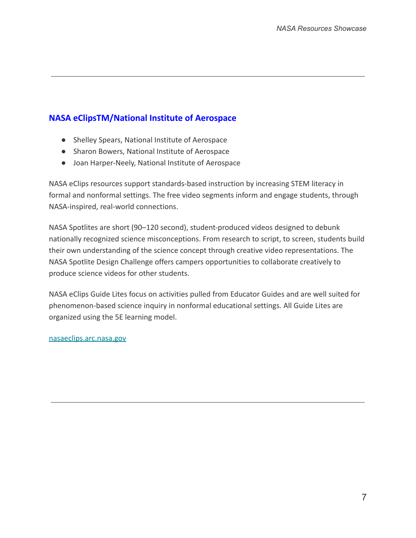# **NASA eClipsTM/National Institute of Aerospace**

- Shelley Spears, National Institute of Aerospace
- Sharon Bowers, National Institute of Aerospace
- Joan Harper-Neely, National Institute of Aerospace

NASA eClips resources support standards-based instruction by increasing STEM literacy in formal and nonformal settings. The free video segments inform and engage students, through NASA-inspired, real-world connections.

NASA Spotlites are short (90–120 second), student-produced videos designed to debunk nationally recognized science misconceptions. From research to script, to screen, students build their own understanding of the science concept through creative video representations. The NASA Spotlite Design Challenge offers campers opportunities to collaborate creatively to produce science videos for other students.

NASA eClips Guide Lites focus on activities pulled from Educator Guides and are well suited for phenomenon-based science inquiry in nonformal educational settings. All Guide Lites are organized using the 5E learning model.

[nasaeclips.arc.nasa.gov](https://nasaeclips.arc.nasa.gov/)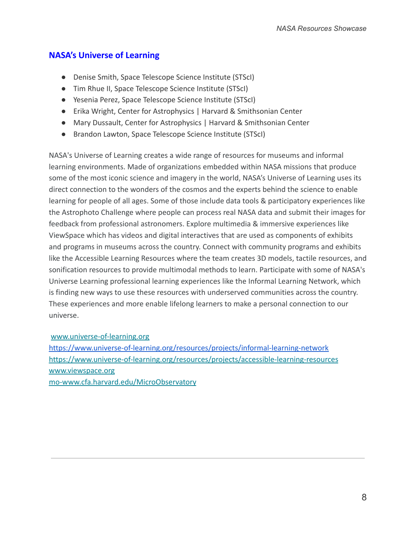# **NASA's Universe of Learning**

- Denise Smith, Space Telescope Science Institute (STScI)
- Tim Rhue II, Space Telescope Science Institute (STScI)
- Yesenia Perez, Space Telescope Science Institute (STScI)
- Erika Wright, Center for Astrophysics | Harvard & Smithsonian Center
- Mary Dussault, Center for Astrophysics | Harvard & Smithsonian Center
- Brandon Lawton, Space Telescope Science Institute (STScI)

NASA's Universe of Learning creates a wide range of resources for museums and informal learning environments. Made of organizations embedded within NASA missions that produce some of the most iconic science and imagery in the world, NASA's Universe of Learning uses its direct connection to the wonders of the cosmos and the experts behind the science to enable learning for people of all ages. Some of those include data tools & participatory experiences like the Astrophoto Challenge where people can process real NASA data and submit their images for feedback from professional astronomers. Explore multimedia & immersive experiences like ViewSpace which has videos and digital interactives that are used as components of exhibits and programs in museums across the country. Connect with community programs and exhibits like the Accessible Learning Resources where the team creates 3D models, tactile resources, and sonification resources to provide multimodal methods to learn. Participate with some of NASA's Universe Learning professional learning experiences like the Informal Learning Network, which is finding new ways to use these resources with underserved communities across the country. These experiences and more enable lifelong learners to make a personal connection to our universe.

#### [www.universe-of-learning.org](https://www.nisenet.org/www.universe-of-learning.org)

<https://www.universe-of-learning.org/resources/projects/informal-learning-network> https://www.universe-of-learning.org/resources/projects/accessible-learning-resources [www.viewspace.org](https://www.nisenet.org/www.viewspace.org) [mo-www.cfa.harvard.edu/MicroObservatory](http://mo-www.cfa.harvard.edu/microobservatory/)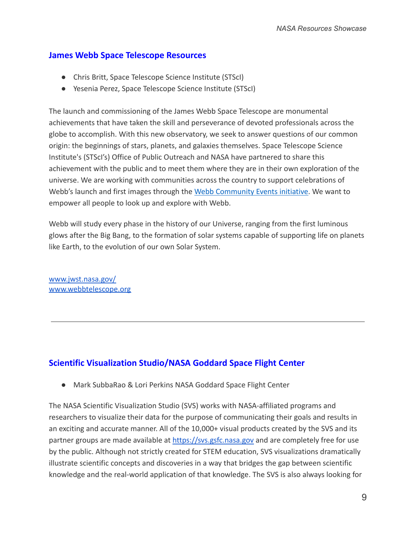### **James Webb Space Telescope Resources**

- Chris Britt, Space Telescope Science Institute (STScI)
- Yesenia Perez, Space Telescope Science Institute (STScI)

The launch and commissioning of the James Webb Space Telescope are monumental achievements that have taken the skill and perseverance of devoted professionals across the globe to accomplish. With this new observatory, we seek to answer questions of our common origin: the beginnings of stars, planets, and galaxies themselves. Space Telescope Science Institute's (STScI's) Office of Public Outreach and NASA have partnered to share this achievement with the public and to meet them where they are in their own exploration of the universe. We are working with communities across the country to support celebrations of Webb's launch and first images through the [Webb Community](https://outerspace.stsci.edu/display/WSTCE/) Events initiative. We want to empower all people to look up and explore with Webb.

Webb will study every phase in the history of our Universe, ranging from the first luminous glows after the Big Bang, to the formation of solar systems capable of supporting life on planets like Earth, to the evolution of our own Solar System.

[www.jwst.nasa.gov/](https://www.jwst.nasa.gov/) [www.webbtelescope.org](http://www.webbtelescope.org)

# **Scientific Visualization Studio/NASA Goddard Space Flight Center**

● Mark SubbaRao & Lori Perkins NASA Goddard Space Flight Center

The NASA Scientific Visualization Studio (SVS) works with NASA-affiliated programs and researchers to visualize their data for the purpose of communicating their goals and results in an exciting and accurate manner. All of the 10,000+ visual products created by the SVS and its partner groups are made available at <https://svs.gsfc.nasa.gov> and are completely free for use by the public. Although not strictly created for STEM education, SVS visualizations dramatically illustrate scientific concepts and discoveries in a way that bridges the gap between scientific knowledge and the real-world application of that knowledge. The SVS is also always looking for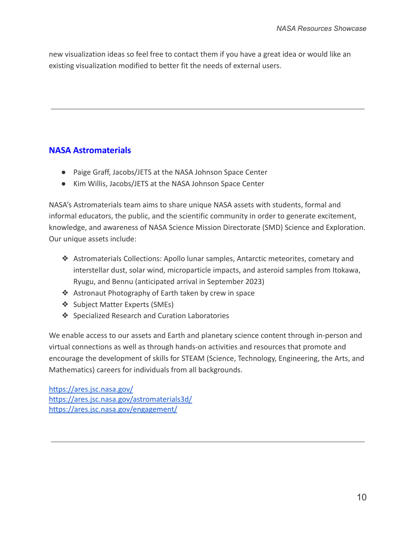new visualization ideas so feel free to contact them if you have a great idea or would like an existing visualization modified to better fit the needs of external users.

# **NASA Astromaterials**

- Paige Graff, Jacobs/JETS at the NASA Johnson Space Center
- Kim Willis, Jacobs/JETS at the NASA Johnson Space Center

NASA's Astromaterials team aims to share unique NASA assets with students, formal and informal educators, the public, and the scientific community in order to generate excitement, knowledge, and awareness of NASA Science Mission Directorate (SMD) Science and Exploration. Our unique assets include:

- ❖ Astromaterials Collections: Apollo lunar samples, Antarctic meteorites, cometary and interstellar dust, solar wind, microparticle impacts, and asteroid samples from Itokawa, Ryugu, and Bennu (anticipated arrival in September 2023)
- ❖ Astronaut Photography of Earth taken by crew in space
- ❖ Subject Matter Experts (SMEs)
- ❖ Specialized Research and Curation Laboratories

We enable access to our assets and Earth and planetary science content through in-person and virtual connections as well as through hands-on activities and resources that promote and encourage the development of skills for STEAM (Science, Technology, Engineering, the Arts, and Mathematics) careers for individuals from all backgrounds.

<https://ares.jsc.nasa.gov/> <https://ares.jsc.nasa.gov/astromaterials3d/> <https://ares.jsc.nasa.gov/engagement/>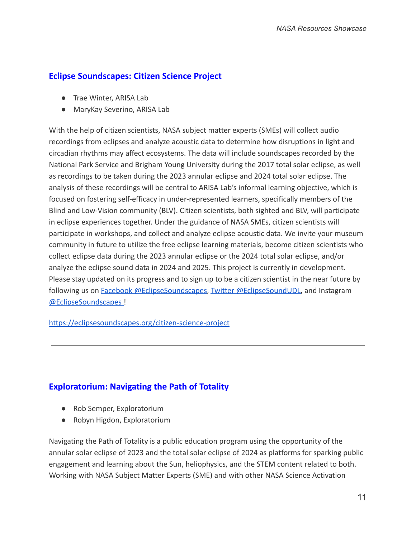# **Eclipse Soundscapes: Citizen Science Project**

- Trae Winter, ARISA Lab
- MaryKay Severino, ARISA Lab

With the help of citizen scientists, NASA subject matter experts (SMEs) will collect audio recordings from eclipses and analyze acoustic data to determine how disruptions in light and circadian rhythms may affect ecosystems. The data will include soundscapes recorded by the National Park Service and Brigham Young University during the 2017 total solar eclipse, as well as recordings to be taken during the 2023 annular eclipse and 2024 total solar eclipse. The analysis of these recordings will be central to ARISA Lab's informal learning objective, which is focused on fostering self-efficacy in under-represented learners, specifically members of the Blind and Low-Vision community (BLV). Citizen scientists, both sighted and BLV, will participate in eclipse experiences together. Under the guidance of NASA SMEs, citizen scientists will participate in workshops, and collect and analyze eclipse acoustic data. We invite your museum community in future to utilize the free eclipse learning materials, become citizen scientists who collect eclipse data during the 2023 annular eclipse or the 2024 total solar eclipse, and/or analyze the eclipse sound data in 2024 and 2025. This project is currently in development. Please stay updated on its progress and to sign up to be a citizen scientist in the near future by following us on **Facebook @EclipseSoundscapes**, Twitter [@EclipseSoundUDL,](https://twitter.com/EclipseSoundUDL) and Instagram [@EclipseSoundscapes](https://www.instagram.com/eclipsesoundscapes/?hl=en) !

<https://eclipsesoundscapes.org/citizen-science-project>

# **Exploratorium: Navigating the Path of Totality**

- Rob Semper, Exploratorium
- Robyn Higdon, Exploratorium

Navigating the Path of Totality is a public education program using the opportunity of the annular solar eclipse of 2023 and the total solar eclipse of 2024 as platforms for sparking public engagement and learning about the Sun, heliophysics, and the STEM content related to both. Working with NASA Subject Matter Experts (SME) and with other NASA Science Activation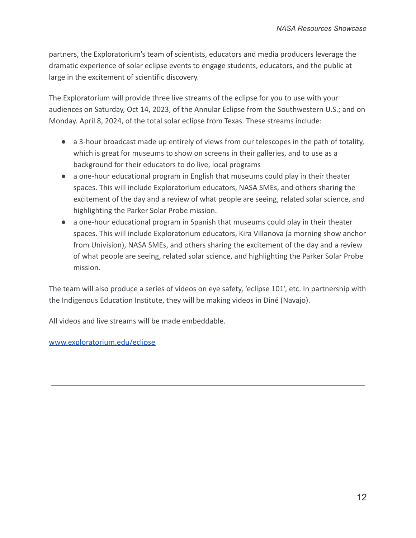partners, the Exploratorium's team of scientists, educators and media producers leverage the dramatic experience of solar eclipse events to engage students, educators, and the public at large in the excitement of scientific discovery.

The Exploratorium will provide three live streams of the eclipse for you to use with your audiences on Saturday, Oct 14, 2023, of the Annular Eclipse from the Southwestern U.S.; and on Monday. April 8, 2024, of the total solar eclipse from Texas. These streams include:

- a 3-hour broadcast made up entirely of views from our telescopes in the path of totality, which is great for museums to show on screens in their galleries, and to use as a background for their educators to do live, local programs
- a one-hour educational program in English that museums could play in their theater spaces. This will include Exploratorium educators, NASA SMEs, and others sharing the excitement of the day and a review of what people are seeing, related solar science, and highlighting the Parker Solar Probe mission.
- a one-hour educational program in Spanish that museums could play in their theater spaces. This will include Exploratorium educators, Kira Villanova (a morning show anchor from Univision), NASA SMEs, and others sharing the excitement of the day and a review of what people are seeing, related solar science, and highlighting the Parker Solar Probe mission.

The team will also produce a series of videos on eye safety, 'eclipse 101', etc. In partnership with the Indigenous Education Institute, they will be making videos in Diné (Navajo).

All videos and live streams will be made embeddable.

[www.exploratorium.edu/eclipse](http://www.exploratorium.edu/eclipse)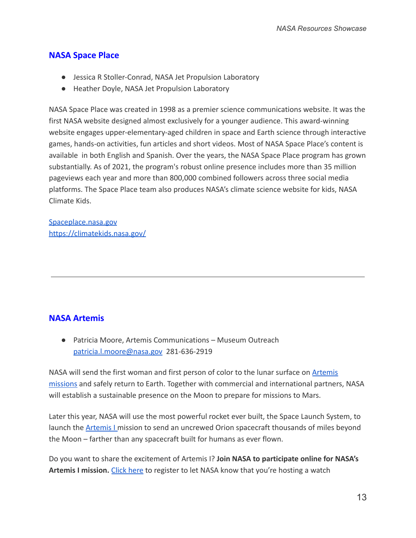## **NASA Space Place**

- Jessica R Stoller-Conrad, NASA Jet Propulsion Laboratory
- Heather Doyle, NASA Jet Propulsion Laboratory

NASA Space Place was created in 1998 as a premier science communications website. It was the first NASA website designed almost exclusively for a younger audience. This award-winning website engages upper-elementary-aged children in space and Earth science through interactive games, hands-on activities, fun articles and short videos. Most of NASA Space Place's content is available in both English and Spanish. Over the years, the NASA Space Place program has grown substantially. As of 2021, the program's robust online presence includes more than 35 million pageviews each year and more than 800,000 combined followers across three social media platforms. The Space Place team also produces NASA's climate science website for kids, NASA Climate Kids.

[Spaceplace.nasa.gov](https://spaceplace.nasa.gov/) <https://climatekids.nasa.gov/>

#### **NASA Artemis**

● Patricia Moore, Artemis Communications – Museum Outreach [patricia.l.moore@nasa.gov](mailto:patricia.l.moore@nasa.gov) 281-636-2919

NASA will send the first woman and first person of color to the lunar surface on [Artemis](https://www.nasa.gov/specials/artemis/) [missions](https://www.nasa.gov/specials/artemis/) and safely return to Earth. Together with commercial and international partners, NASA will establish a sustainable presence on the Moon to prepare for missions to Mars.

Later this year, NASA will use the most powerful rocket ever built, the Space Launch System, to launch the **[Artemis I](https://www.nasa.gov/artemis-1) mission to send an uncrewed Orion spacecraft thousands of miles beyond** the Moon – farther than any spacecraft built for humans as ever flown.

Do you want to share the excitement of Artemis I? **Join NASA to participate online for NASA's** Artemis I mission. [Click here](https://www.eventbrite.com/e/artemis-i-registration-144043131885) to register to let NASA know that you're hosting a watch